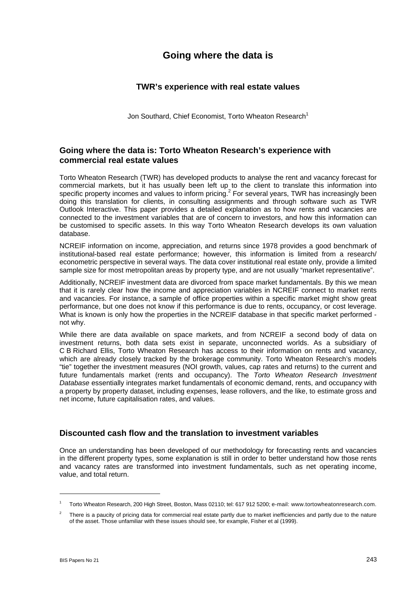# **Going where the data is**

# **TWR's experience with real estate values**

Jon Southard, Chief Economist, Torto Wheaton Research<sup>1</sup>

# **Going where the data is: Torto Wheaton Research's experience with commercial real estate values**

Torto Wheaton Research (TWR) has developed products to analyse the rent and vacancy forecast for commercial markets, but it has usually been left up to the client to translate this information into specific property incomes and values to inform pricing.<sup>2</sup> For several years, TWR has increasingly been doing this translation for clients, in consulting assignments and through software such as TWR Outlook Interactive. This paper provides a detailed explanation as to how rents and vacancies are connected to the investment variables that are of concern to investors, and how this information can be customised to specific assets. In this way Torto Wheaton Research develops its own valuation database.

NCREIF information on income, appreciation, and returns since 1978 provides a good benchmark of institutional-based real estate performance; however, this information is limited from a research/ econometric perspective in several ways. The data cover institutional real estate only, provide a limited sample size for most metropolitan areas by property type, and are not usually "market representative".

Additionally, NCREIF investment data are divorced from space market fundamentals. By this we mean that it is rarely clear how the income and appreciation variables in NCREIF connect to market rents and vacancies. For instance, a sample of office properties within a specific market might show great performance, but one does not know if this performance is due to rents, occupancy, or cost leverage. What is known is only how the properties in the NCREIF database in that specific market performed not why.

While there are data available on space markets, and from NCREIF a second body of data on investment returns, both data sets exist in separate, unconnected worlds. As a subsidiary of C B Richard Ellis, Torto Wheaton Research has access to their information on rents and vacancy, which are already closely tracked by the brokerage community. Torto Wheaton Research's models "tie" together the investment measures (NOI growth, values, cap rates and returns) to the current and future fundamentals market (rents and occupancy). The *Torto Wheaton Research Investment Database* essentially integrates market fundamentals of economic demand, rents, and occupancy with a property by property dataset, including expenses, lease rollovers, and the like, to estimate gross and net income, future capitalisation rates, and values.

### **Discounted cash flow and the translation to investment variables**

Once an understanding has been developed of our methodology for forecasting rents and vacancies in the different property types, some explanation is still in order to better understand how those rents and vacancy rates are transformed into investment fundamentals, such as net operating income, value, and total return.

 $\overline{a}$ 

<sup>1</sup> Torto Wheaton Research, 200 High Street, Boston, Mass 02110; tel: 617 912 5200; e-mail: www.tortowheatonresearch.com.

<sup>2</sup> There is a paucity of pricing data for commercial real estate partly due to market inefficiencies and partly due to the nature of the asset. Those unfamiliar with these issues should see, for example, Fisher et al (1999).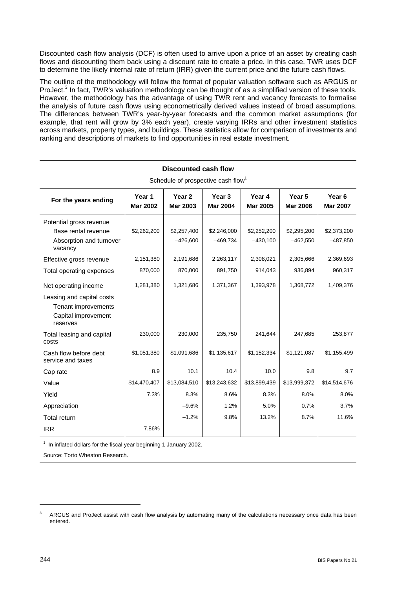Discounted cash flow analysis (DCF) is often used to arrive upon a price of an asset by creating cash flows and discounting them back using a discount rate to create a price. In this case, TWR uses DCF to determine the likely internal rate of return (IRR) given the current price and the future cash flows.

The outline of the methodology will follow the format of popular valuation software such as ARGUS or ProJect.<sup>3</sup> In fact, TWR's valuation methodology can be thought of as a simplified version of these tools. However, the methodology has the advantage of using TWR rent and vacancy forecasts to formalise the analysis of future cash flows using econometrically derived values instead of broad assumptions. The differences between TWR's year-by-year forecasts and the common market assumptions (for example, that rent will grow by 3% each year), create varying IRRs and other investment statistics across markets, property types, and buildings. These statistics allow for comparison of investments and ranking and descriptions of markets to find opportunities in real estate investment.

| Schedule of prospective cash flow <sup>1</sup>                                       |                           |                                      |                           |                           |                           |                                      |  |  |  |
|--------------------------------------------------------------------------------------|---------------------------|--------------------------------------|---------------------------|---------------------------|---------------------------|--------------------------------------|--|--|--|
| For the years ending                                                                 | Year 1<br><b>Mar 2002</b> | Year <sub>2</sub><br><b>Mar 2003</b> | Year 3<br><b>Mar 2004</b> | Year 4<br><b>Mar 2005</b> | Year 5<br><b>Mar 2006</b> | Year <sub>6</sub><br><b>Mar 2007</b> |  |  |  |
| Potential gross revenue<br>Base rental revenue<br>Absorption and turnover<br>vacancy | \$2,262,200               | \$2,257,400<br>$-426,600$            | \$2,246,000<br>$-469,734$ | \$2,252,200<br>$-430,100$ | \$2,295,200<br>$-462,550$ | \$2,373,200<br>$-487,850$            |  |  |  |
| Effective gross revenue                                                              | 2,151,380                 | 2,191,686                            | 2,263,117                 | 2,308,021                 | 2,305,666                 | 2,369,693                            |  |  |  |
| Total operating expenses                                                             | 870,000                   | 870,000                              | 891,750                   | 914,043                   | 936,894                   | 960,317                              |  |  |  |
| Net operating income                                                                 | 1,281,380                 | 1,321,686                            | 1,371,367                 | 1,393,978                 | 1,368,772                 | 1,409,376                            |  |  |  |
| Leasing and capital costs<br>Tenant improvements<br>Capital improvement<br>reserves  |                           |                                      |                           |                           |                           |                                      |  |  |  |
| Total leasing and capital<br>costs                                                   | 230,000                   | 230,000                              | 235,750                   | 241,644                   | 247,685                   | 253,877                              |  |  |  |
| Cash flow before debt<br>service and taxes                                           | \$1,051,380               | \$1,091,686                          | \$1,135,617               | \$1,152,334               | \$1,121,087               | \$1,155,499                          |  |  |  |
| Cap rate                                                                             | 8.9                       | 10.1                                 | 10.4                      | 10.0                      | 9.8                       | 9.7                                  |  |  |  |
| Value                                                                                | \$14,470,407              | \$13,084,510                         | \$13,243,632              | \$13,899,439              | \$13,999,372              | \$14,514,676                         |  |  |  |
| Yield                                                                                | 7.3%                      | 8.3%                                 | 8.6%                      | 8.3%                      | 8.0%                      | 8.0%                                 |  |  |  |
| Appreciation                                                                         |                           | $-9.6%$                              | 1.2%                      | 5.0%                      | 0.7%                      | 3.7%                                 |  |  |  |
| <b>Total return</b>                                                                  |                           | $-1.2%$                              | 9.8%                      | 13.2%                     | 8.7%                      | 11.6%                                |  |  |  |
| <b>IRR</b>                                                                           | 7.86%                     |                                      |                           |                           |                           |                                      |  |  |  |

**Discounted cash flow** 

 $1$  In inflated dollars for the fiscal year beginning 1 January 2002.

Source: Torto Wheaton Research.

l

<sup>3</sup> ARGUS and ProJect assist with cash flow analysis by automating many of the calculations necessary once data has been entered.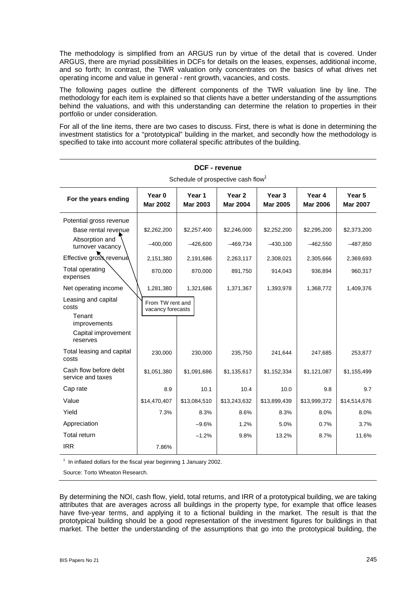The methodology is simplified from an ARGUS run by virtue of the detail that is covered. Under ARGUS, there are myriad possibilities in DCFs for details on the leases, expenses, additional income, and so forth; In contrast, the TWR valuation only concentrates on the basics of what drives net operating income and value in general - rent growth, vacancies, and costs.

The following pages outline the different components of the TWR valuation line by line. The methodology for each item is explained so that clients have a better understanding of the assumptions behind the valuations, and with this understanding can determine the relation to properties in their portfolio or under consideration.

For all of the line items, there are two cases to discuss. First, there is what is done in determining the investment statistics for a "prototypical" building in the market, and secondly how the methodology is specified to take into account more collateral specific attributes of the building.

| odilcadio of prospective cash how                                                         |                                       |                           |                                      |                           |                           |                           |  |  |  |
|-------------------------------------------------------------------------------------------|---------------------------------------|---------------------------|--------------------------------------|---------------------------|---------------------------|---------------------------|--|--|--|
| For the years ending                                                                      | Year 0<br><b>Mar 2002</b>             | Year 1<br><b>Mar 2003</b> | Year <sub>2</sub><br><b>Mar 2004</b> | Year 3<br><b>Mar 2005</b> | Year 4<br><b>Mar 2006</b> | Year 5<br><b>Mar 2007</b> |  |  |  |
| Potential gross revenue                                                                   |                                       |                           |                                      |                           |                           |                           |  |  |  |
| Base rental revenue                                                                       | \$2,262,200                           | \$2,257,400               | \$2,246,000                          | \$2,252,200               | \$2,295,200               | \$2,373,200               |  |  |  |
| Absorption and<br>turnover vacancy                                                        | $-400,000$                            | $-426,600$                | $-469,734$                           | $-430,100$                | $-462,550$                | $-487,850$                |  |  |  |
| Effective gross revenue                                                                   | 2,151,380                             | 2,191,686                 | 2,263,117                            | 2,308,021                 | 2,305,666                 | 2,369,693                 |  |  |  |
| <b>Total operating</b><br>expenses                                                        | 870,000                               | 870,000                   | 891,750                              | 914,043                   | 936,894                   | 960,317                   |  |  |  |
| Net operating income                                                                      | 1,281,380                             | 1,321,686                 | 1,371,367                            | 1,393,978                 | 1,368,772                 | 1,409,376                 |  |  |  |
| Leasing and capital<br>costs<br>Tenant<br>improvements<br>Capital improvement<br>reserves | From TW rent and<br>vacancy forecasts |                           |                                      |                           |                           |                           |  |  |  |
| Total leasing and capital<br>costs                                                        | 230,000                               | 230,000                   | 235,750                              | 241,644                   | 247,685                   | 253,877                   |  |  |  |
| Cash flow before debt<br>service and taxes                                                | \$1,051,380                           | \$1,091,686               | \$1,135,617                          | \$1,152,334               | \$1,121,087               | \$1,155,499               |  |  |  |
| Cap rate                                                                                  | 8.9                                   | 10.1                      | 10.4                                 | 10.0                      | 9.8                       | 9.7                       |  |  |  |
| Value                                                                                     | \$14,470,407                          | \$13,084,510              | \$13,243,632                         | \$13,899,439              | \$13,999,372              | \$14,514,676              |  |  |  |
| Yield                                                                                     | 7.3%                                  | 8.3%                      | 8.6%                                 | 8.3%                      | 8.0%                      | 8.0%                      |  |  |  |
| Appreciation                                                                              |                                       | $-9.6%$                   | 1.2%                                 | 5.0%                      | 0.7%                      | 3.7%                      |  |  |  |
| Total return                                                                              |                                       | $-1.2%$                   | 9.8%                                 | 13.2%                     | 8.7%                      | 11.6%                     |  |  |  |
| <b>IRR</b>                                                                                | 7.86%                                 |                           |                                      |                           |                           |                           |  |  |  |

**DCF - revenue**  Schedule of prospective cash flow<sup>1</sup>

 $1$  In inflated dollars for the fiscal year beginning 1 January 2002.

Source: Torto Wheaton Research.

By determining the NOI, cash flow, yield, total returns, and IRR of a prototypical building, we are taking attributes that are averages across all buildings in the property type, for example that office leases have five-year terms, and applying it to a fictional building in the market. The result is that the prototypical building should be a good representation of the investment figures for buildings in that market. The better the understanding of the assumptions that go into the prototypical building, the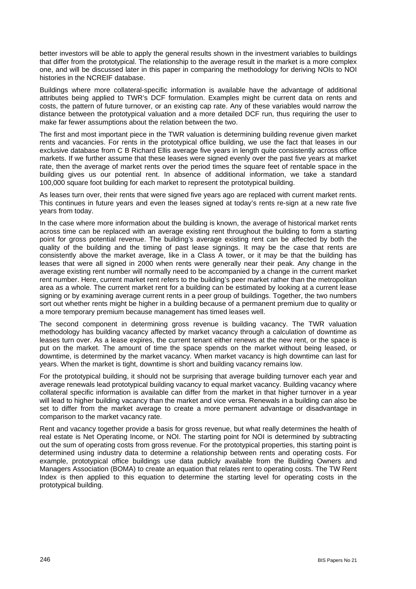better investors will be able to apply the general results shown in the investment variables to buildings that differ from the prototypical. The relationship to the average result in the market is a more complex one, and will be discussed later in this paper in comparing the methodology for deriving NOIs to NOI histories in the NCREIF database.

Buildings where more collateral-specific information is available have the advantage of additional attributes being applied to TWR's DCF formulation. Examples might be current data on rents and costs, the pattern of future turnover, or an existing cap rate. Any of these variables would narrow the distance between the prototypical valuation and a more detailed DCF run, thus requiring the user to make far fewer assumptions about the relation between the two.

The first and most important piece in the TWR valuation is determining building revenue given market rents and vacancies. For rents in the prototypical office building, we use the fact that leases in our exclusive database from C B Richard Ellis average five years in length quite consistently across office markets. If we further assume that these leases were signed evenly over the past five years at market rate, then the average of market rents over the period times the square feet of rentable space in the building gives us our potential rent. In absence of additional information, we take a standard 100,000 square foot building for each market to represent the prototypical building.

As leases turn over, their rents that were signed five years ago are replaced with current market rents. This continues in future years and even the leases signed at today's rents re-sign at a new rate five years from today.

In the case where more information about the building is known, the average of historical market rents across time can be replaced with an average existing rent throughout the building to form a starting point for gross potential revenue. The building's average existing rent can be affected by both the quality of the building and the timing of past lease signings. It may be the case that rents are consistently above the market average, like in a Class A tower, or it may be that the building has leases that were all signed in 2000 when rents were generally near their peak. Any change in the average existing rent number will normally need to be accompanied by a change in the current market rent number. Here, current market rent refers to the building's peer market rather than the metropolitan area as a whole. The current market rent for a building can be estimated by looking at a current lease signing or by examining average current rents in a peer group of buildings. Together, the two numbers sort out whether rents might be higher in a building because of a permanent premium due to quality or a more temporary premium because management has timed leases well.

The second component in determining gross revenue is building vacancy. The TWR valuation methodology has building vacancy affected by market vacancy through a calculation of downtime as leases turn over. As a lease expires, the current tenant either renews at the new rent, or the space is put on the market. The amount of time the space spends on the market without being leased, or downtime, is determined by the market vacancy. When market vacancy is high downtime can last for years. When the market is tight, downtime is short and building vacancy remains low.

For the prototypical building, it should not be surprising that average building turnover each year and average renewals lead prototypical building vacancy to equal market vacancy. Building vacancy where collateral specific information is available can differ from the market in that higher turnover in a year will lead to higher building vacancy than the market and vice versa. Renewals in a building can also be set to differ from the market average to create a more permanent advantage or disadvantage in comparison to the market vacancy rate.

Rent and vacancy together provide a basis for gross revenue, but what really determines the health of real estate is Net Operating Income, or NOI. The starting point for NOI is determined by subtracting out the sum of operating costs from gross revenue. For the prototypical properties, this starting point is determined using industry data to determine a relationship between rents and operating costs. For example, prototypical office buildings use data publicly available from the Building Owners and Managers Association (BOMA) to create an equation that relates rent to operating costs. The TW Rent Index is then applied to this equation to determine the starting level for operating costs in the prototypical building.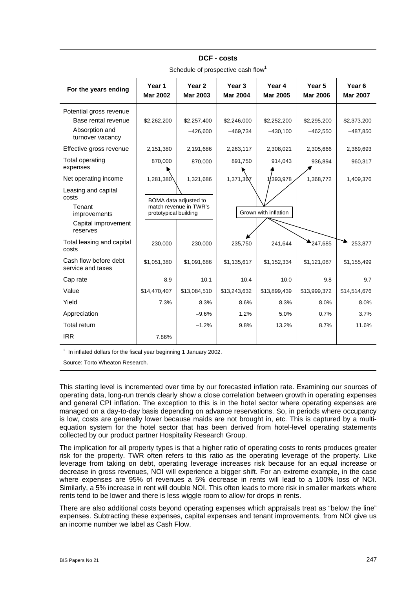| For the years ending                                                                      | Year 1<br><b>Mar 2002</b>                                                | Year <sub>2</sub><br><b>Mar 2003</b> | Year <sub>3</sub><br><b>Mar 2004</b> | Year 4<br><b>Mar 2005</b> | Year <sub>5</sub><br><b>Mar 2006</b> | Year <sub>6</sub><br><b>Mar 2007</b> |  |  |  |
|-------------------------------------------------------------------------------------------|--------------------------------------------------------------------------|--------------------------------------|--------------------------------------|---------------------------|--------------------------------------|--------------------------------------|--|--|--|
| Potential gross revenue<br>Base rental revenue<br>Absorption and<br>turnover vacancy      | \$2,262,200                                                              | \$2,257,400<br>$-426,600$            | \$2,246,000<br>$-469,734$            | \$2,252,200<br>$-430,100$ | \$2,295,200<br>$-462,550$            | \$2,373,200<br>$-487,850$            |  |  |  |
| Effective gross revenue                                                                   | 2,151,380                                                                | 2,191,686                            | 2,263,117                            | 2,308,021                 | 2,305,666                            | 2,369,693                            |  |  |  |
| Total operating<br>expenses                                                               | 870,000                                                                  | 870,000                              | 891,750                              | 914,043                   | 936,894                              | 960,317                              |  |  |  |
| Net operating income                                                                      | 1,281,380                                                                | 1,321,686                            | 1,371,367                            | ,393,978                  | 1,368,772                            | 1,409,376                            |  |  |  |
| Leasing and capital<br>costs<br>Tenant<br>improvements<br>Capital improvement<br>reserves | BOMA data adjusted to<br>match revenue in TWR's<br>prototypical building |                                      |                                      | Grown with inflation      |                                      |                                      |  |  |  |
| Total leasing and capital<br>costs                                                        | 230,000                                                                  | 230,000                              | 235,750                              | 241,644                   | 247,685                              | 253,877                              |  |  |  |
| Cash flow before debt<br>service and taxes                                                | \$1,051,380                                                              | \$1,091,686                          | \$1,135,617                          | \$1,152,334               | \$1,121,087                          | \$1,155,499                          |  |  |  |
| Cap rate                                                                                  | 8.9                                                                      | 10.1                                 | 10.4                                 | 10.0                      | 9.8                                  | 9.7                                  |  |  |  |
| Value                                                                                     | \$14,470,407                                                             | \$13,084,510                         | \$13,243,632                         | \$13,899,439              | \$13,999,372                         | \$14,514,676                         |  |  |  |
| Yield                                                                                     | 7.3%                                                                     | 8.3%                                 | 8.6%                                 | 8.3%                      | 8.0%                                 | 8.0%                                 |  |  |  |
| Appreciation                                                                              |                                                                          | $-9.6%$                              | 1.2%                                 | 5.0%                      | 0.7%                                 | 3.7%                                 |  |  |  |
| Total return                                                                              |                                                                          | $-1.2%$                              | 9.8%                                 | 13.2%                     | 8.7%                                 | 11.6%                                |  |  |  |
| <b>IRR</b>                                                                                | 7.86%                                                                    |                                      |                                      |                           |                                      |                                      |  |  |  |

**DCF - costs**  Schedule of prospective cash flow<sup>1</sup>

 $1$  In inflated dollars for the fiscal year beginning 1 January 2002.

Source: Torto Wheaton Research.

This starting level is incremented over time by our forecasted inflation rate. Examining our sources of operating data, long-run trends clearly show a close correlation between growth in operating expenses and general CPI inflation. The exception to this is in the hotel sector where operating expenses are managed on a day-to-day basis depending on advance reservations. So, in periods where occupancy is low, costs are generally lower because maids are not brought in, etc. This is captured by a multiequation system for the hotel sector that has been derived from hotel-level operating statements collected by our product partner Hospitality Research Group.

The implication for all property types is that a higher ratio of operating costs to rents produces greater risk for the property. TWR often refers to this ratio as the operating leverage of the property. Like leverage from taking on debt, operating leverage increases risk because for an equal increase or decrease in gross revenues, NOI will experience a bigger shift. For an extreme example, in the case where expenses are 95% of revenues a 5% decrease in rents will lead to a 100% loss of NOI. Similarly, a 5% increase in rent will double NOI. This often leads to more risk in smaller markets where rents tend to be lower and there is less wiggle room to allow for drops in rents.

There are also additional costs beyond operating expenses which appraisals treat as "below the line" expenses. Subtracting these expenses, capital expenses and tenant improvements, from NOI give us an income number we label as Cash Flow.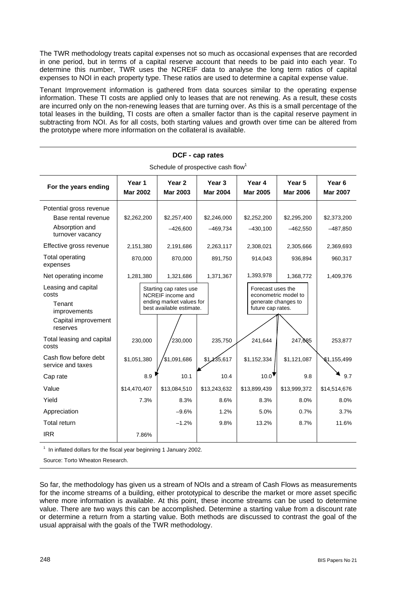The TWR methodology treats capital expenses not so much as occasional expenses that are recorded in one period, but in terms of a capital reserve account that needs to be paid into each year. To determine this number, TWR uses the NCREIF data to analyse the long term ratios of capital expenses to NOI in each property type. These ratios are used to determine a capital expense value.

Tenant Improvement information is gathered from data sources similar to the operating expense information. These TI costs are applied only to leases that are not renewing. As a result, these costs are incurred only on the non-renewing leases that are turning over. As this is a small percentage of the total leases in the building, TI costs are often a smaller factor than is the capital reserve payment in subtracting from NOI. As for all costs, both starting values and growth over time can be altered from the prototype where more information on the collateral is available.

| Schedule of prospective cash flow <sup>1</sup>                                |                           |                                                                                                     |                                      |                                                               |                           |                                      |  |  |
|-------------------------------------------------------------------------------|---------------------------|-----------------------------------------------------------------------------------------------------|--------------------------------------|---------------------------------------------------------------|---------------------------|--------------------------------------|--|--|
| For the years ending                                                          | Year 1<br><b>Mar 2002</b> | Year 2<br><b>Mar 2003</b>                                                                           | Year <sub>3</sub><br><b>Mar 2004</b> | Year 4<br><b>Mar 2005</b>                                     | Year 5<br><b>Mar 2006</b> | Year <sub>6</sub><br><b>Mar 2007</b> |  |  |
| Potential gross revenue                                                       |                           |                                                                                                     |                                      |                                                               |                           |                                      |  |  |
| Base rental revenue<br>Absorption and<br>turnover vacancy                     | \$2,262,200               | \$2,257,400<br>$-426,600$                                                                           | \$2,246,000<br>$-469,734$            | \$2,252,200<br>$-430,100$                                     | \$2,295,200<br>$-462,550$ | \$2,373,200<br>$-487,850$            |  |  |
| Effective gross revenue                                                       | 2,151,380                 | 2,191,686                                                                                           | 2,263,117                            | 2,308,021                                                     | 2,305,666                 | 2,369,693                            |  |  |
| Total operating<br>expenses                                                   | 870,000                   | 870,000                                                                                             | 891,750                              | 914,043                                                       | 936,894                   | 960,317                              |  |  |
| Net operating income                                                          | 1,281,380                 | 1,321,686                                                                                           | 1,371,367                            | 1,393,978                                                     | 1,368,772                 | 1,409,376                            |  |  |
| Leasing and capital<br>costs<br>Tenant<br>improvements<br>Capital improvement |                           | Starting cap rates use<br>NCREIF income and<br>ending market values for<br>best available estimate. |                                      | Forecast uses the<br>generate changes to<br>future cap rates. | econometric model to      |                                      |  |  |
| reserves<br>Total leasing and capital<br>costs                                | 230,000                   | 230,000                                                                                             | 235,750                              | 241,644                                                       | 247,085                   | 253,877                              |  |  |
| Cash flow before debt<br>service and taxes                                    | \$1,051,380               | \$1,091,686                                                                                         | \$1,135,617                          | \$1,152,334                                                   | \$1,121,087               | \$1,155,499                          |  |  |
| Cap rate                                                                      | 8.9                       | 10.1                                                                                                | 10.4                                 | 10.0                                                          | 9.8                       | 9.7                                  |  |  |
| Value                                                                         | \$14,470,407              | \$13,084,510                                                                                        | \$13,243,632                         | \$13,899,439                                                  | \$13,999,372              | \$14,514,676                         |  |  |
| Yield                                                                         | 7.3%                      | 8.3%                                                                                                | 8.6%                                 | 8.3%                                                          | 8.0%                      | 8.0%                                 |  |  |
| Appreciation                                                                  |                           | $-9.6%$                                                                                             | 1.2%                                 | 5.0%                                                          | 0.7%                      | 3.7%                                 |  |  |
| Total return                                                                  |                           | $-1.2%$                                                                                             | 9.8%                                 | 13.2%                                                         | 8.7%                      | 11.6%                                |  |  |
| <b>IRR</b>                                                                    | 7.86%                     |                                                                                                     |                                      |                                                               |                           |                                      |  |  |

**DCF - cap rates** 

 $1$  In inflated dollars for the fiscal year beginning 1 January 2002.

Source: Torto Wheaton Research.

So far, the methodology has given us a stream of NOIs and a stream of Cash Flows as measurements for the income streams of a building, either prototypical to describe the market or more asset specific where more information is available. At this point, these income streams can be used to determine value. There are two ways this can be accomplished. Determine a starting value from a discount rate or determine a return from a starting value. Both methods are discussed to contrast the goal of the usual appraisal with the goals of the TWR methodology.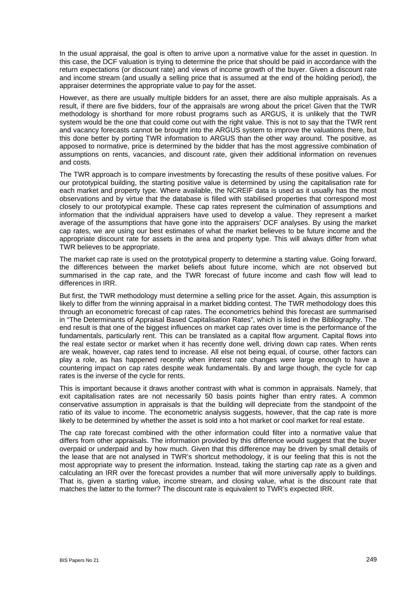In the usual appraisal, the goal is often to arrive upon a normative value for the asset in question. In this case, the DCF valuation is trying to determine the price that should be paid in accordance with the return expectations (or discount rate) and views of income growth of the buyer. Given a discount rate and income stream (and usually a selling price that is assumed at the end of the holding period), the appraiser determines the appropriate value to pay for the asset.

However, as there are usually multiple bidders for an asset, there are also multiple appraisals. As a result, if there are five bidders, four of the appraisals are wrong about the price! Given that the TWR methodology is shorthand for more robust programs such as ARGUS, it is unlikely that the TWR system would be the one that could come out with the right value. This is not to say that the TWR rent and vacancy forecasts cannot be brought into the ARGUS system to improve the valuations there, but this done better by porting TWR information to ARGUS than the other way around. The positive, as apposed to normative, price is determined by the bidder that has the most aggressive combination of assumptions on rents, vacancies, and discount rate, given their additional information on revenues and costs.

The TWR approach is to compare investments by forecasting the results of these positive values. For our prototypical building, the starting positive value is determined by using the capitalisation rate for each market and property type. Where available, the NCREIF data is used as it usually has the most observations and by virtue that the database is filled with stabilised properties that correspond most closely to our prototypical example. These cap rates represent the culmination of assumptions and information that the individual appraisers have used to develop a value. They represent a market average of the assumptions that have gone into the appraisers' DCF analyses. By using the market cap rates, we are using our best estimates of what the market believes to be future income and the appropriate discount rate for assets in the area and property type. This will always differ from what TWR believes to be appropriate.

The market cap rate is used on the prototypical property to determine a starting value. Going forward, the differences between the market beliefs about future income, which are not observed but summarised in the cap rate, and the TWR forecast of future income and cash flow will lead to differences in IRR.

But first, the TWR methodology must determine a selling price for the asset. Again, this assumption is likely to differ from the winning appraisal in a market bidding contest. The TWR methodology does this through an econometric forecast of cap rates. The econometrics behind this forecast are summarised in "The Determinants of Appraisal Based Capitalisation Rates", which is listed in the Bibliography. The end result is that one of the biggest influences on market cap rates over time is the performance of the fundamentals, particularly rent. This can be translated as a capital flow argument. Capital flows into the real estate sector or market when it has recently done well, driving down cap rates. When rents are weak, however, cap rates tend to increase. All else not being equal, of course, other factors can play a role, as has happened recently when interest rate changes were large enough to have a countering impact on cap rates despite weak fundamentals. By and large though, the cycle for cap rates is the inverse of the cycle for rents.

This is important because it draws another contrast with what is common in appraisals. Namely, that exit capitalisation rates are not necessarily 50 basis points higher than entry rates. A common conservative assumption in appraisals is that the building will depreciate from the standpoint of the ratio of its value to income. The econometric analysis suggests, however, that the cap rate is more likely to be determined by whether the asset is sold into a hot market or cool market for real estate.

The cap rate forecast combined with the other information could filter into a normative value that differs from other appraisals. The information provided by this difference would suggest that the buyer overpaid or underpaid and by how much. Given that this difference may be driven by small details of the lease that are not analysed in TWR's shortcut methodology, it is our feeling that this is not the most appropriate way to present the information. Instead, taking the starting cap rate as a given and calculating an IRR over the forecast provides a number that will more universally apply to buildings. That is, given a starting value, income stream, and closing value, what is the discount rate that matches the latter to the former? The discount rate is equivalent to TWR's expected IRR.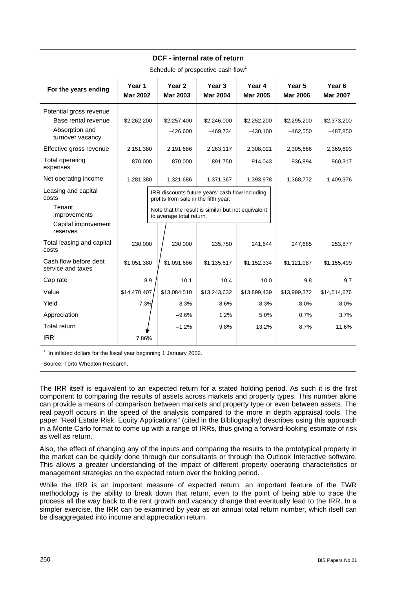| For the years ending                                                          | Year 1<br><b>Mar 2002</b> | Year <sub>2</sub><br><b>Mar 2003</b>                                                                                                                                      | Year 3<br><b>Mar 2004</b> | Year 4<br><b>Mar 2005</b> | Year 5<br><b>Mar 2006</b> | Year <sub>6</sub><br><b>Mar 2007</b> |
|-------------------------------------------------------------------------------|---------------------------|---------------------------------------------------------------------------------------------------------------------------------------------------------------------------|---------------------------|---------------------------|---------------------------|--------------------------------------|
| Potential gross revenue                                                       |                           |                                                                                                                                                                           |                           |                           |                           |                                      |
| Base rental revenue                                                           | \$2,262,200               | \$2,257,400                                                                                                                                                               | \$2,246,000               | \$2,252,200               | \$2,295,200               | \$2,373,200                          |
| Absorption and<br>turnover vacancy                                            |                           | $-426,600$                                                                                                                                                                | $-469,734$                | $-430,100$                | $-462,550$                | $-487,850$                           |
| Effective gross revenue                                                       | 2,151,380                 | 2,191,686                                                                                                                                                                 | 2,263,117                 | 2,308,021                 | 2,305,666                 | 2,369,693                            |
| Total operating<br>expenses                                                   | 870,000                   | 870,000                                                                                                                                                                   | 891,750                   | 914,043                   | 936,894                   | 960,317                              |
| Net operating income                                                          | 1,281,380                 | 1,321,686                                                                                                                                                                 | 1,371,367                 | 1,393,978                 | 1,368,772                 | 1,409,376                            |
| Leasing and capital<br>costs<br>Tenant<br>improvements<br>Capital improvement |                           | IRR discounts future years' cash flow including<br>profits from sale in the fifth year.<br>Note that the result is similar but not equivalent<br>to average total return. |                           |                           |                           |                                      |
| reserves                                                                      |                           |                                                                                                                                                                           |                           |                           |                           |                                      |
| Total leasing and capital<br>costs                                            | 230,000                   | 230,000                                                                                                                                                                   | 235,750                   | 241,644                   | 247,685                   | 253,877                              |
| Cash flow before debt<br>service and taxes                                    | \$1,051,380               | \$1,091,686                                                                                                                                                               | \$1,135,617               | \$1,152,334               | \$1,121,087               | \$1,155,499                          |
| Cap rate                                                                      | 8.9                       | 10.1                                                                                                                                                                      | 10.4                      | 10.0                      | 9.8                       | 9.7                                  |
| Value                                                                         | \$14,470,407              | \$13,084,510                                                                                                                                                              | \$13,243,632              | \$13,899,439              | \$13,999,372              | \$14,514,676                         |
| Yield                                                                         | 7.3%                      | 8.3%                                                                                                                                                                      | 8.6%                      | 8.3%                      | 8.0%                      | 8.0%                                 |
| Appreciation                                                                  |                           | $-9.6%$                                                                                                                                                                   | 1.2%                      | 5.0%                      | 0.7%                      | 3.7%                                 |
| <b>Total return</b>                                                           |                           | $-1.2%$                                                                                                                                                                   | 9.8%                      | 13.2%                     | 8.7%                      | 11.6%                                |
| <b>IRR</b>                                                                    | 7.86%                     |                                                                                                                                                                           |                           |                           |                           |                                      |

**DCF - internal rate of return** 

Schedule of prospective cash flow<sup>1</sup>

 $1$  In inflated dollars for the fiscal year beginning 1 January 2002.

Source: Torto Wheaton Research.

The IRR itself is equivalent to an expected return for a stated holding period. As such it is the first component to comparing the results of assets across markets and property types. This number alone can provide a means of comparison between markets and property type or even between assets. The real payoff occurs in the speed of the analysis compared to the more in depth appraisal tools. The paper "Real Estate Risk: Equity Applications" (cited in the Bibliography) describes using this approach in a Monte Carlo format to come up with a range of IRRs, thus giving a forward-looking estimate of risk as well as return.

Also, the effect of changing any of the inputs and comparing the results to the prototypical property in the market can be quickly done through our consultants or through the Outlook Interactive software. This allows a greater understanding of the impact of different property operating characteristics or management strategies on the expected return over the holding period.

While the IRR is an important measure of expected return, an important feature of the TWR methodology is the ability to break down that return, even to the point of being able to trace the process all the way back to the rent growth and vacancy change that eventually lead to the IRR. In a simpler exercise, the IRR can be examined by year as an annual total return number, which itself can be disaggregated into income and appreciation return.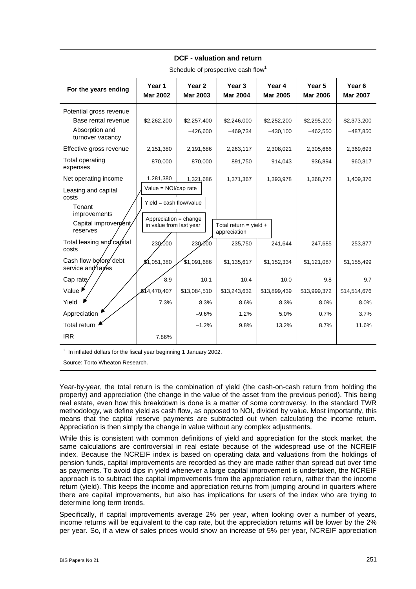| For the years ending                                                                                  | Year 1<br><b>Mar 2002</b>                                                                                            | Year <sub>2</sub><br><b>Mar 2003</b> | Year <sub>3</sub><br><b>Mar 2004</b> | Year 4<br><b>Mar 2005</b> | Year 5<br><b>Mar 2006</b> | Year <sub>6</sub><br><b>Mar 2007</b> |
|-------------------------------------------------------------------------------------------------------|----------------------------------------------------------------------------------------------------------------------|--------------------------------------|--------------------------------------|---------------------------|---------------------------|--------------------------------------|
| Potential gross revenue<br>Base rental revenue<br>Absorption and<br>turnover vacancy                  | \$2,262,200                                                                                                          | \$2,257,400<br>$-426,600$            | \$2,246,000<br>$-469,734$            | \$2,252,200<br>$-430,100$ | \$2,295,200<br>$-462,550$ | \$2,373,200<br>$-487,850$            |
| Effective gross revenue                                                                               | 2,151,380                                                                                                            | 2,191,686                            | 2,263,117                            | 2,308,021                 | 2,305,666                 | 2,369,693                            |
| Total operating<br>expenses                                                                           | 870,000                                                                                                              | 870,000                              | 891,750                              | 914,043                   | 936,894                   | 960,317                              |
| Net operating income<br>Leasing and capital<br>costs<br>Tenant<br>improvements<br>Capital improvement | 1,281,380<br>Value = $NOI/cap$ rate<br>Yield = $cash$ flow/value<br>Appreciation = change<br>in value from last year | 1,321,686                            | 1,371,367<br>Total return = yield +  | 1,393,978                 | 1,368,772                 | 1,409,376                            |
| reserves<br>Total leasing and capital<br>costs                                                        | 230,000                                                                                                              | 230,000                              | appreciation<br>235,750              | 241,644                   | 247,685                   | 253,877                              |
| Cash flow before debt<br>service and taxes                                                            | \$1.051.380                                                                                                          | \$1,091,686                          | \$1,135,617                          | \$1,152,334               | \$1,121,087               | \$1,155,499                          |
| Cap rate                                                                                              | 8.9                                                                                                                  | 10.1                                 | 10.4                                 | 10.0                      | 9.8                       | 9.7                                  |
| Value <sup>1</sup>                                                                                    | \$14,470,407                                                                                                         | \$13,084,510                         | \$13,243,632                         | \$13,899,439              | \$13,999,372              | \$14,514,676                         |
| Yield                                                                                                 | 7.3%                                                                                                                 | 8.3%                                 | 8.6%                                 | 8.3%                      | 8.0%                      | 8.0%                                 |
| Appreciation                                                                                          |                                                                                                                      | $-9.6%$                              | 1.2%                                 | 5.0%                      | 0.7%                      | 3.7%                                 |
| Total return                                                                                          |                                                                                                                      | $-1.2%$                              | 9.8%                                 | 13.2%                     | 8.7%                      | 11.6%                                |
| <b>IRR</b>                                                                                            | 7.86%                                                                                                                |                                      |                                      |                           |                           |                                      |

#### **DCF - valuation and return**

Schedule of prospective cash flow<sup>1</sup>

 $1$  In inflated dollars for the fiscal year beginning 1 January 2002.

Source: Torto Wheaton Research.

Year-by-year, the total return is the combination of yield (the cash-on-cash return from holding the property) and appreciation (the change in the value of the asset from the previous period). This being real estate, even how this breakdown is done is a matter of some controversy. In the standard TWR methodology, we define yield as cash flow, as opposed to NOI, divided by value. Most importantly, this means that the capital reserve payments are subtracted out when calculating the income return. Appreciation is then simply the change in value without any complex adjustments.

While this is consistent with common definitions of yield and appreciation for the stock market, the same calculations are controversial in real estate because of the widespread use of the NCREIF index. Because the NCREIF index is based on operating data and valuations from the holdings of pension funds, capital improvements are recorded as they are made rather than spread out over time as payments. To avoid dips in yield whenever a large capital improvement is undertaken, the NCREIF approach is to subtract the capital improvements from the appreciation return, rather than the income return (yield). This keeps the income and appreciation returns from jumping around in quarters where there are capital improvements, but also has implications for users of the index who are trying to determine long term trends.

Specifically, if capital improvements average 2% per year, when looking over a number of years, income returns will be equivalent to the cap rate, but the appreciation returns will be lower by the 2% per year. So, if a view of sales prices would show an increase of 5% per year, NCREIF appreciation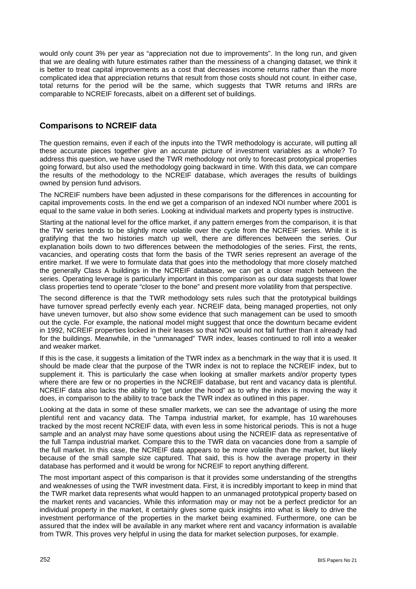would only count 3% per year as "appreciation not due to improvements". In the long run, and given that we are dealing with future estimates rather than the messiness of a changing dataset, we think it is better to treat capital improvements as a cost that decreases income returns rather than the more complicated idea that appreciation returns that result from those costs should not count. In either case, total returns for the period will be the same, which suggests that TWR returns and IRRs are comparable to NCREIF forecasts, albeit on a different set of buildings.

### **Comparisons to NCREIF data**

The question remains, even if each of the inputs into the TWR methodology is accurate, will putting all these accurate pieces together give an accurate picture of investment variables as a whole? To address this question, we have used the TWR methodology not only to forecast prototypical properties going forward, but also used the methodology going backward in time. With this data, we can compare the results of the methodology to the NCREIF database, which averages the results of buildings owned by pension fund advisors.

The NCREIF numbers have been adjusted in these comparisons for the differences in accounting for capital improvements costs. In the end we get a comparison of an indexed NOI number where 2001 is equal to the same value in both series. Looking at individual markets and property types is instructive.

Starting at the national level for the office market, if any pattern emerges from the comparison, it is that the TW series tends to be slightly more volatile over the cycle from the NCREIF series. While it is gratifying that the two histories match up well, there are differences between the series. Our explanation boils down to two differences between the methodologies of the series. First, the rents, vacancies, and operating costs that form the basis of the TWR series represent an average of the entire market. If we were to formulate data that goes into the methodology that more closely matched the generally Class A buildings in the NCREIF database, we can get a closer match between the series. Operating leverage is particularly important in this comparison as our data suggests that lower class properties tend to operate "closer to the bone" and present more volatility from that perspective.

The second difference is that the TWR methodology sets rules such that the prototypical buildings have turnover spread perfectly evenly each year. NCREIF data, being managed properties, not only have uneven turnover, but also show some evidence that such management can be used to smooth out the cycle. For example, the national model might suggest that once the downturn became evident in 1992, NCREIF properties locked in their leases so that NOI would not fall further than it already had for the buildings. Meanwhile, in the "unmanaged" TWR index, leases continued to roll into a weaker and weaker market.

If this is the case, it suggests a limitation of the TWR index as a benchmark in the way that it is used. It should be made clear that the purpose of the TWR index is not to replace the NCREIF index, but to supplement it. This is particularly the case when looking at smaller markets and/or property types where there are few or no properties in the NCREIF database, but rent and vacancy data is plentiful. NCREIF data also lacks the ability to "get under the hood" as to why the index is moving the way it does, in comparison to the ability to trace back the TWR index as outlined in this paper.

Looking at the data in some of these smaller markets, we can see the advantage of using the more plentiful rent and vacancy data. The Tampa industrial market, for example, has 10 warehouses tracked by the most recent NCREIF data, with even less in some historical periods. This is not a huge sample and an analyst may have some questions about using the NCREIF data as representative of the full Tampa industrial market. Compare this to the TWR data on vacancies done from a sample of the full market. In this case, the NCREIF data appears to be more volatile than the market, but likely because of the small sample size captured. That said, this is how the average property in their database has performed and it would be wrong for NCREIF to report anything different.

The most important aspect of this comparison is that it provides some understanding of the strengths and weaknesses of using the TWR investment data. First, it is incredibly important to keep in mind that the TWR market data represents what would happen to an unmanaged prototypical property based on the market rents and vacancies. While this information may or may not be a perfect predictor for an individual property in the market, it certainly gives some quick insights into what is likely to drive the investment performance of the properties in the market being examined. Furthermore, one can be assured that the index will be available in any market where rent and vacancy information is available from TWR. This proves very helpful in using the data for market selection purposes, for example.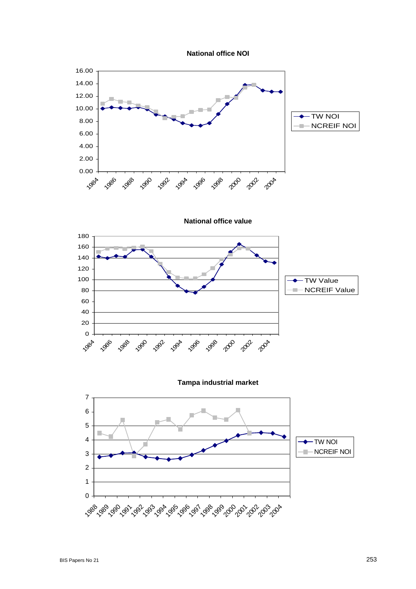



**National office value**